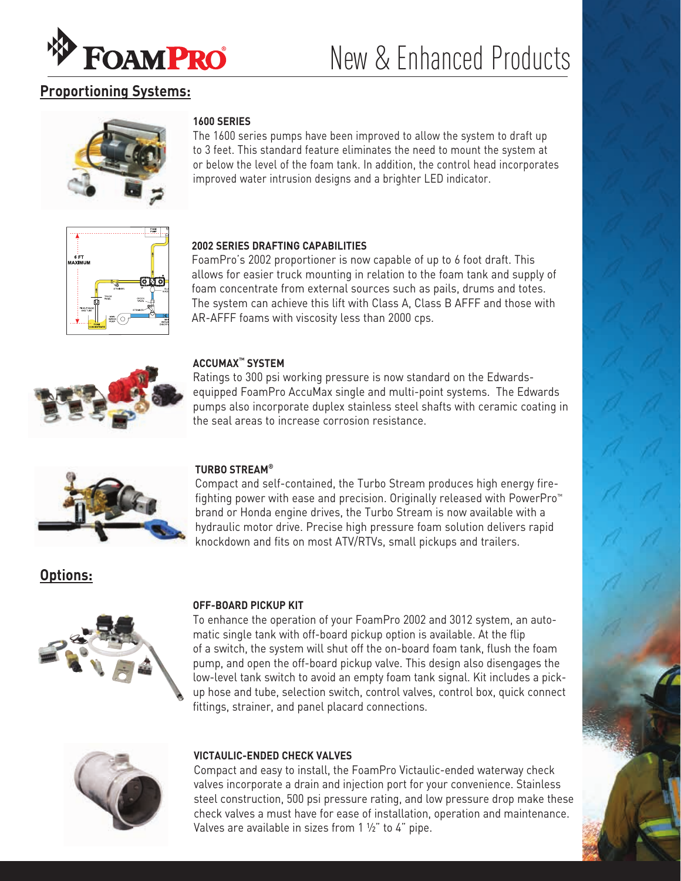

# New & Enhanced Products

# **Proportioning Systems:**



## **1600 SERIES**

The 1600 series pumps have been improved to allow the system to draft up to 3 feet. This standard feature eliminates the need to mount the system at or below the level of the foam tank. In addition, the control head incorporates improved water intrusion designs and a brighter LED indicator.



# **2002 SERIES DRAFTING CAPABILITIES**

FoamPro's 2002 proportioner is now capable of up to 6 foot draft. This allows for easier truck mounting in relation to the foam tank and supply of foam concentrate from external sources such as pails, drums and totes. The system can achieve this lift with Class A, Class B AFFF and those with AR-AFFF foams with viscosity less than 2000 cps.



## **ACCUMAX™ SYSTEM**

Ratings to 300 psi working pressure is now standard on the Edwardsequipped FoamPro AccuMax single and multi-point systems. The Edwards pumps also incorporate duplex stainless steel shafts with ceramic coating in the seal areas to increase corrosion resistance.



### **TURBO STREAM®**

Compact and self-contained, the Turbo Stream produces high energy firefighting power with ease and precision. Originally released with PowerPro™ brand or Honda engine drives, the Turbo Stream is now available with a hydraulic motor drive. Precise high pressure foam solution delivers rapid knockdown and fits on most ATV/RTVs, small pickups and trailers.

# **Options:**



#### **OFF-BOARD PICKUP KIT**

To enhance the operation of your FoamPro 2002 and 3012 system, an automatic single tank with off-board pickup option is available. At the flip of a switch, the system will shut off the on-board foam tank, flush the foam pump, and open the off-board pickup valve. This design also disengages the low-level tank switch to avoid an empty foam tank signal. Kit includes a pickup hose and tube, selection switch, control valves, control box, quick connect fittings, strainer, and panel placard connections.



### **VICTAULIC-ENDED CHECK VALVES**

Compact and easy to install, the FoamPro Victaulic-ended waterway check valves incorporate a drain and injection port for your convenience. Stainless steel construction, 500 psi pressure rating, and low pressure drop make these check valves a must have for ease of installation, operation and maintenance. Valves are available in sizes from 1 ½" to 4" pipe.